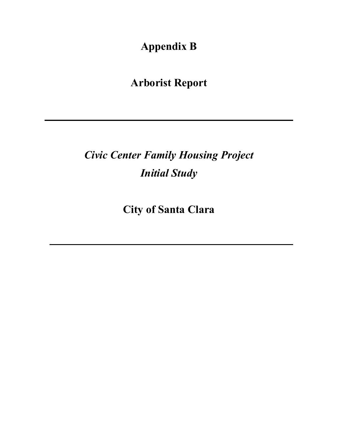**Appendix B** 

**Arborist Report**

*Civic Center Family Housing Project Initial Study*

**City of Santa Clara**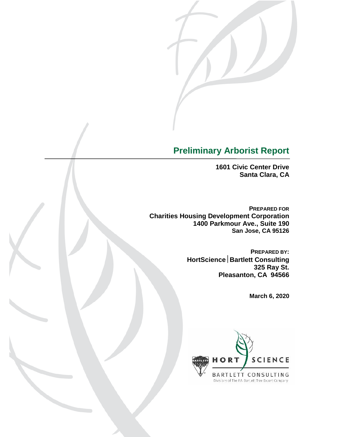

## **Preliminary Arborist Report**

**1601 Civic Center Drive Santa Clara, CA**

**PREPARED FOR Charities Housing Development Corporation 1400 Parkmour Ave., Suite 190 San Jose, CA 95126**

> **PREPARED BY: HortScienceBartlett Consulting 325 Ray St. Pleasanton, CA 94566**

> > **March 6, 2020**

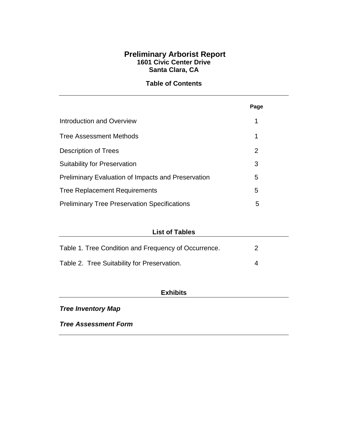## **Preliminary Arborist Report 1601 Civic Center Drive Santa Clara, CA**

## **Table of Contents**

|                                                           | Page |
|-----------------------------------------------------------|------|
| Introduction and Overview                                 | 1    |
| <b>Tree Assessment Methods</b>                            | 1    |
| Description of Trees                                      | 2    |
| <b>Suitability for Preservation</b>                       | 3    |
| <b>Preliminary Evaluation of Impacts and Preservation</b> | 5    |
| <b>Tree Replacement Requirements</b>                      | 5    |
| <b>Preliminary Tree Preservation Specifications</b>       | 5    |

| <b>List of Tables</b>                                |   |  |
|------------------------------------------------------|---|--|
| Table 1. Tree Condition and Frequency of Occurrence. | 2 |  |
| Table 2. Tree Suitability for Preservation.          | Δ |  |

## **Exhibits**

## *Tree Inventory Map*

*Tree Assessment Form*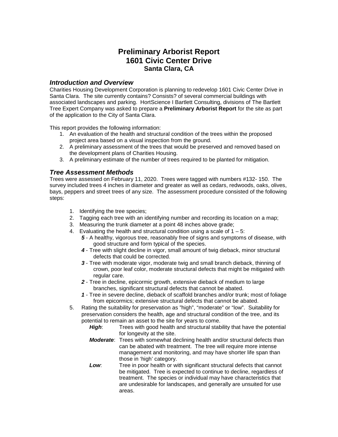## **Preliminary Arborist Report 1601 Civic Center Drive Santa Clara, CA**

#### *Introduction and Overview*

Charities Housing Development Corporation is planning to redevelop 1601 Civic Center Drive in Santa Clara. The site currently contains? Consists? of several commercial buildings with associated landscapes and parking. HortScience I Bartlett Consulting, divisions of The Bartlett Tree Expert Company was asked to prepare a **Preliminary Arborist Report** for the site as part of the application to the City of Santa Clara.

This report provides the following information:

- 1. An evaluation of the health and structural condition of the trees within the proposed project area based on a visual inspection from the ground.
- 2. A preliminary assessment of the trees that would be preserved and removed based on the development plans of Charities Housing.
- 3. A preliminary estimate of the number of trees required to be planted for mitigation.

#### *Tree Assessment Methods*

Trees were assessed on February 11, 2020. Trees were tagged with numbers #132- 150. The survey included trees 4 inches in diameter and greater as well as cedars, redwoods, oaks, olives, bays, peppers and street trees of any size. The assessment procedure consisted of the following steps:

- 1. Identifying the tree species;
- 2. Tagging each tree with an identifying number and recording its location on a map;
- 3. Measuring the trunk diameter at a point 48 inches above grade;
- 4. Evaluating the health and structural condition using a scale of  $1 5$ :
	- *5* A healthy, vigorous tree, reasonably free of signs and symptoms of disease, with good structure and form typical of the species.
	- *4* Tree with slight decline in vigor, small amount of twig dieback, minor structural defects that could be corrected.
	- *3* Tree with moderate vigor, moderate twig and small branch dieback, thinning of crown, poor leaf color, moderate structural defects that might be mitigated with regular care.
	- *2* Tree in decline, epicormic growth, extensive dieback of medium to large branches, significant structural defects that cannot be abated.
	- *1* Tree in severe decline, dieback of scaffold branches and/or trunk; most of foliage from epicormics; extensive structural defects that cannot be abated.
- 5. Rating the suitability for preservation as "high", "moderate" or "low". Suitability for preservation considers the health, age and structural condition of the tree, and its potential to remain an asset to the site for years to come.<br> **High:** Trees with good health and structural stab
	- *High*: Trees with good health and structural stability that have the potential for longevity at the site.
	- *Moderate*: Trees with somewhat declining health and/or structural defects than can be abated with treatment. The tree will require more intense management and monitoring, and may have shorter life span than those in 'high' category.
	- *Low*: Tree in poor health or with significant structural defects that cannot be mitigated. Tree is expected to continue to decline, regardless of treatment. The species or individual may have characteristics that are undesirable for landscapes, and generally are unsuited for use areas.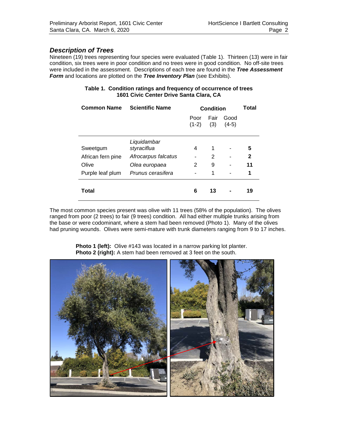### *Description of Trees*

Nineteen (19) trees representing four species were evaluated (Table 1). Thirteen (13) were in fair condition, six trees were in poor condition and no trees were in good condition. No off-site trees were included in the assessment. Descriptions of each tree are found in the *Tree Assessment Form* and locations are plotted on the *Tree Inventory Plan* (see Exhibits).

| Table 1. Condition ratings and frequency of occurrence of trees |
|-----------------------------------------------------------------|
| 1601 Civic Center Drive Santa Clara, CA                         |

| <b>Common Name</b> | <b>Scientific Name</b> | <b>Condition</b> | Total       |                 |              |
|--------------------|------------------------|------------------|-------------|-----------------|--------------|
|                    |                        | Poor<br>$(1-2)$  | Fair<br>(3) | Good<br>$(4-5)$ |              |
|                    | Liquidambar            |                  |             |                 |              |
| Sweetgum           | styraciflua            | 4                | 1           |                 | 5            |
| African fern pine  | Afrocarpus falcatus    |                  | 2           |                 | $\mathbf{2}$ |
| Olive              | Olea europaea          | 2                | 9           |                 | 11           |
| Purple leaf plum   | Prunus cerasifera      |                  | 1           | ۰               | 1            |
| Total              |                        | 6                | 13          |                 | 19           |

The most common species present was olive with 11 trees (58% of the population). The olives ranged from poor (2 trees) to fair (9 trees) condition. All had either multiple trunks arising from the base or were codominant, where a stem had been removed (Photo 1). Many of the olives had pruning wounds. Olives were semi-mature with trunk diameters ranging from 9 to 17 inches.

> **Photo 1 (left):** Olive #143 was located in a narrow parking lot planter. **Photo 2 (right):** A stem had been removed at 3 feet on the south.

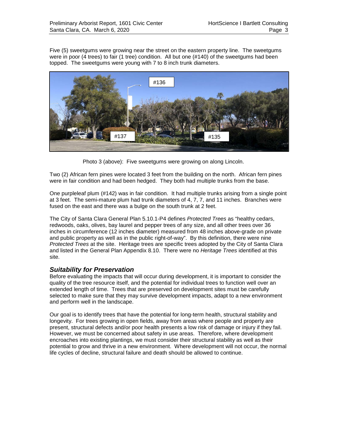Five (5) sweetgums were growing near the street on the eastern property line. The sweetgums were in poor (4 trees) to fair (1 tree) condition. All but one (#140) of the sweetgums had been topped. The sweetgums were young with 7 to 8 inch trunk diameters.



Photo 3 (above): Five sweetgums were growing on along Lincoln.

Two (2) African fern pines were located 3 feet from the building on the north. African fern pines were in fair condition and had been hedged. They both had multiple trunks from the base.

One purpleleaf plum (#142) was in fair condition. It had multiple trunks arising from a single point at 3 feet. The semi-mature plum had trunk diameters of 4, 7, 7, and 11 inches. Branches were fused on the east and there was a bulge on the south trunk at 2 feet.

The City of Santa Clara General Plan 5.10.1-P4 defines *Protected Trees* as "healthy cedars, redwoods, oaks, olives, bay laurel and pepper trees of any size, and all other trees over 36 inches in circumference (12 inches diameter) measured from 48 inches above-grade on private and public property as well as in the public right-of-way". By this definition, there were nine *Protected Trees* at the site. Heritage trees are specific trees adopted by the City of Santa Clara and listed in the General Plan Appendix 8.10. There were no *Heritage Trees* identified at this site.

## *Suitability for Preservation*

Before evaluating the impacts that will occur during development, it is important to consider the quality of the tree resource itself, and the potential for individual trees to function well over an extended length of time. Trees that are preserved on development sites must be carefully selected to make sure that they may survive development impacts, adapt to a new environment and perform well in the landscape.

Our goal is to identify trees that have the potential for long-term health, structural stability and longevity. For trees growing in open fields, away from areas where people and property are present, structural defects and/or poor health presents a low risk of damage or injury if they fail. However, we must be concerned about safety in use areas. Therefore, where development encroaches into existing plantings, we must consider their structural stability as well as their potential to grow and thrive in a new environment. Where development will not occur, the normal life cycles of decline, structural failure and death should be allowed to continue.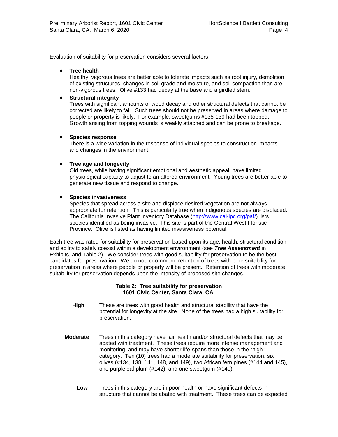Evaluation of suitability for preservation considers several factors:

#### • **Tree health**

Healthy, vigorous trees are better able to tolerate impacts such as root injury, demolition of existing structures, changes in soil grade and moisture, and soil compaction than are non-vigorous trees. Olive #133 had decay at the base and a girdled stem.

#### • **Structural integrity**

Trees with significant amounts of wood decay and other structural defects that cannot be corrected are likely to fail. Such trees should not be preserved in areas where damage to people or property is likely. For example, sweetgums #135-139 had been topped. Growth arising from topping wounds is weakly attached and can be prone to breakage.

#### • **Species response**

There is a wide variation in the response of individual species to construction impacts and changes in the environment.

#### • **Tree age and longevity**

Old trees, while having significant emotional and aesthetic appeal, have limited physiological capacity to adjust to an altered environment. Young trees are better able to generate new tissue and respond to change.

#### • **Species invasiveness**

Species that spread across a site and displace desired vegetation are not always appropriate for retention. This is particularly true when indigenous species are displaced. The California Invasive Plant Inventory Database [\(http://www.cal-ipc.org/paf/\)](http://www.cal-ipc.org/paf/) lists species identified as being invasive. This site is part of the Central West Floristic Province. Olive is listed as having limited invasiveness potential.

Each tree was rated for suitability for preservation based upon its age, health, structural condition and ability to safely coexist within a development environment (see *Tree Assessment* in Exhibits, and Table 2). We consider trees with good suitability for preservation to be the best candidates for preservation. We do not recommend retention of trees with poor suitability for preservation in areas where people or property will be present. Retention of trees with moderate suitability for preservation depends upon the intensity of proposed site changes.

#### **Table 2: Tree suitability for preservation 1601 Civic Center, Santa Clara, CA.**

 **High** These are trees with good health and structural stability that have the potential for longevity at the site. None of the trees had a high suitability for preservation.

**Moderate** Trees in this category have fair health and/or structural defects that may be abated with treatment. These trees require more intense management and monitoring, and may have shorter life-spans than those in the "high" category. Ten (10) trees had a moderate suitability for preservation: six olives (#134, 138, 141, 148, and 149), two African fern pines (#144 and 145), one purpleleaf plum (#142), and one sweetgum (#140).

 **Low** Trees in this category are in poor health or have significant defects in structure that cannot be abated with treatment. These trees can be expected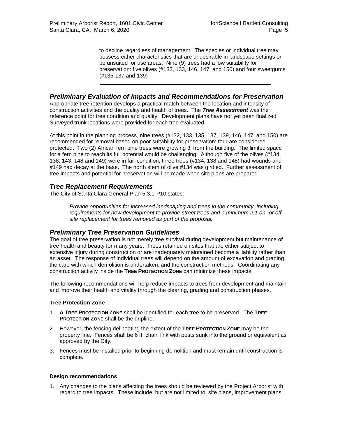to decline regardless of management. The species or individual tree may possess either characteristics that are undesirable in landscape settings or be unsuited for use areas. Nine (9) trees had a low suitability for preservation: five olives (#132, 133, 146, 147, and 150) and four sweetgums (#135-137 and 139)

## *Preliminary Evaluation of Impacts and Recommendations for Preservation*

Appropriate tree retention develops a practical match between the location and intensity of construction activities and the quality and health of trees. The *Tree Assessment* was the reference point for tree condition and quality. Development plans have not yet been finalized. Surveyed trunk locations were provided for each tree evaluated.

At this point in the planning process, nine trees (#132, 133, 135, 137, 139, 146, 147, and 150) are recommended for removal based on poor suitability for preservation; four are considered protected. Two (2) African fern pine trees were growing 3' from the building. The limited space for a fern pine to reach its full potential would be challenging. Although five of the olives (#134, 138, 143, 148 and 149) were in fair condition, three trees (#134, 138 and 148) had wounds and #149 had decay at the base. The north stem of olive #134 was girdled. Further assessment of tree impacts and potential for preservation will be made when site plans are prepared.

## *Tree Replacement Requirements*

The City of Santa Clara General Plan 5.3.1-P10 states:

*Provide opportunities for increased landscaping and trees in the community, including requirements for new development to provide street trees and a minimum 2:1 on- or offsite replacement for trees removed as part of the proposal.*

## *Preliminary Tree Preservation Guidelines*

The goal of tree preservation is not merely tree survival during development but maintenance of tree health and beauty for many years. Trees retained on sites that are either subject to extensive injury during construction or are inadequately maintained become a liability rather than an asset. The response of individual trees will depend on the amount of excavation and grading, the care with which demolition is undertaken, and the construction methods. Coordinating any construction activity inside the **TREE PROTECTION ZONE** can minimize these impacts.

The following recommendations will help reduce impacts to trees from development and maintain and improve their health and vitality through the clearing, grading and construction phases.

#### **Tree Protection Zone**

- 1. **A TREE PROTECTION ZONE** shall be identified for each tree to be preserved. The **TREE PROTECTION ZONE** shall be the dripline.
- 2. However, the fencing delineating the extent of the **TREE PROTECTION ZONE** may be the property line. Fences shall be 6 ft. chain link with posts sunk into the ground or equivalent as approved by the City.
- 3. Fences must be installed prior to beginning demolition and must remain until construction is complete.

#### **Design recommendations**

1. Any changes to the plans affecting the trees should be reviewed by the Project Arborist with regard to tree impacts. These include, but are not limited to, site plans, improvement plans,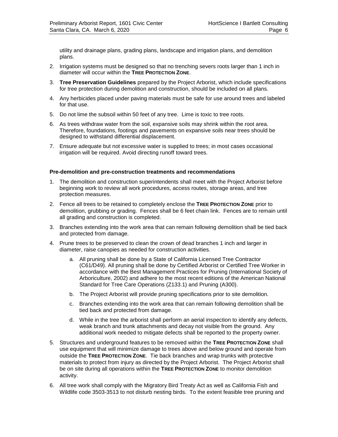utility and drainage plans, grading plans, landscape and irrigation plans, and demolition plans.

- 2. Irrigation systems must be designed so that no trenching severs roots larger than 1 inch in diameter will occur within the **TREE PROTECTION ZONE**.
- 3. **Tree Preservation Guidelines** prepared by the Project Arborist, which include specifications for tree protection during demolition and construction, should be included on all plans.
- 4. Any herbicides placed under paving materials must be safe for use around trees and labeled for that use.
- 5. Do not lime the subsoil within 50 feet of any tree. Lime is toxic to tree roots.
- 6. As trees withdraw water from the soil, expansive soils may shrink within the root area. Therefore, foundations, footings and pavements on expansive soils near trees should be designed to withstand differential displacement.
- 7. Ensure adequate but not excessive water is supplied to trees; in most cases occasional irrigation will be required. Avoid directing runoff toward trees.

#### **Pre-demolition and pre-construction treatments and recommendations**

- 1. The demolition and construction superintendents shall meet with the Project Arborist before beginning work to review all work procedures, access routes, storage areas, and tree protection measures.
- 2. Fence all trees to be retained to completely enclose the **TREE PROTECTION ZONE** prior to demolition, grubbing or grading. Fences shall be 6 feet chain link. Fences are to remain until all grading and construction is completed.
- 3. Branches extending into the work area that can remain following demolition shall be tied back and protected from damage.
- 4. Prune trees to be preserved to clean the crown of dead branches 1 inch and larger in diameter, raise canopies as needed for construction activities.
	- a. All pruning shall be done by a State of California Licensed Tree Contractor (C61/D49). All pruning shall be done by Certified Arborist or Certified Tree Worker in accordance with the Best Management Practices for Pruning (International Society of Arboriculture, 2002) and adhere to the most recent editions of the American National Standard for Tree Care Operations (Z133.1) and Pruning (A300).
	- b. The Project Arborist will provide pruning specifications prior to site demolition.
	- c. Branches extending into the work area that can remain following demolition shall be tied back and protected from damage.
	- d. While in the tree the arborist shall perform an aerial inspection to identify any defects, weak branch and trunk attachments and decay not visible from the ground. Any additional work needed to mitigate defects shall be reported to the property owner.
- 5. Structures and underground features to be removed within the **TREE PROTECTION ZONE** shall use equipment that will minimize damage to trees above and below ground and operate from outside the **TREE PROTECTION ZONE**. Tie back branches and wrap trunks with protective materials to protect from injury as directed by the Project Arborist. The Project Arborist shall be on site during all operations within the **TREE PROTECTION ZONE** to monitor demolition activity.
- 6. All tree work shall comply with the Migratory Bird Treaty Act as well as California Fish and Wildlife code 3503-3513 to not disturb nesting birds. To the extent feasible tree pruning and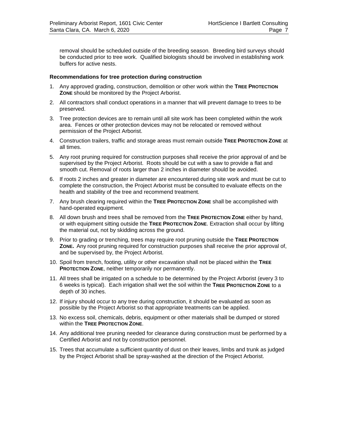removal should be scheduled outside of the breeding season. Breeding bird surveys should be conducted prior to tree work. Qualified biologists should be involved in establishing work buffers for active nests.

#### **Recommendations for tree protection during construction**

- 1. Any approved grading, construction, demolition or other work within the **TREE PROTECTION ZONE** should be monitored by the Project Arborist.
- 2. All contractors shall conduct operations in a manner that will prevent damage to trees to be preserved.
- 3. Tree protection devices are to remain until all site work has been completed within the work area. Fences or other protection devices may not be relocated or removed without permission of the Project Arborist.
- 4. Construction trailers, traffic and storage areas must remain outside **TREE PROTECTION ZONE** at all times.
- 5. Any root pruning required for construction purposes shall receive the prior approval of and be supervised by the Project Arborist. Roots should be cut with a saw to provide a flat and smooth cut. Removal of roots larger than 2 inches in diameter should be avoided.
- 6. If roots 2 inches and greater in diameter are encountered during site work and must be cut to complete the construction, the Project Arborist must be consulted to evaluate effects on the health and stability of the tree and recommend treatment.
- 7. Any brush clearing required within the **TREE PROTECTION ZONE** shall be accomplished with hand-operated equipment*.*
- 8. All down brush and trees shall be removed from the **TREE PROTECTION ZONE** either by hand, or with equipment sitting outside the **TREE PROTECTION ZONE**. Extraction shall occur by lifting the material out, not by skidding across the ground.
- 9. Prior to grading or trenching, trees may require root pruning outside the **TREE PROTECTION ZONE.** Any root pruning required for construction purposes shall receive the prior approval of, and be supervised by, the Project Arborist.
- 10. Spoil from trench, footing, utility or other excavation shall not be placed within the **TREE PROTECTION ZONE**, neither temporarily nor permanently.
- 11. All trees shall be irrigated on a schedule to be determined by the Project Arborist (every 3 to 6 weeks is typical). Each irrigation shall wet the soil within the **TREE PROTECTION ZONE** to a depth of 30 inches.
- 12. If injury should occur to any tree during construction, it should be evaluated as soon as possible by the Project Arborist so that appropriate treatments can be applied.
- 13. No excess soil, chemicals, debris, equipment or other materials shall be dumped or stored within the **TREE PROTECTION ZONE**.
- 14. Any additional tree pruning needed for clearance during construction must be performed by a Certified Arborist and not by construction personnel.
- 15. Trees that accumulate a sufficient quantity of dust on their leaves, limbs and trunk as judged by the Project Arborist shall be spray-washed at the direction of the Project Arborist.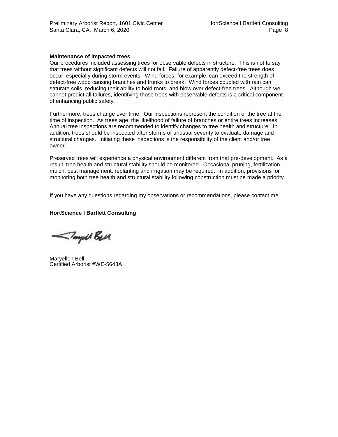#### **Maintenance of impacted trees**

Our procedures included assessing trees for observable defects in structure. This is not to say that trees without significant defects will not fail. Failure of apparently defect-free trees does occur, especially during storm events. Wind forces, for example, can exceed the strength of defect-free wood causing branches and trunks to break. Wind forces coupled with rain can saturate soils, reducing their ability to hold roots, and blow over defect-free trees. Although we cannot predict all failures, identifying those trees with observable defects is a critical component of enhancing public safety.

Furthermore, trees change over time. Our inspections represent the condition of the tree at the time of inspection. As trees age, the likelihood of failure of branches or entire trees increases. Annual tree inspections are recommended to identify changes to tree health and structure. In addition, trees should be inspected after storms of unusual severity to evaluate damage and structural changes. Initiating these inspections is the responsibility of the client and/or tree owner.

Preserved trees will experience a physical environment different from that pre-development. As a result, tree health and structural stability should be monitored. Occasional pruning, fertilization, mulch, pest management, replanting and irrigation may be required. In addition, provisions for monitoring both tree health and structural stability following construction must be made a priority.

If you have any questions regarding my observations or recommendations, please contact me.

#### **HortScience I Bartlett Consulting**

-Tayell Bell

Maryellen Bell Certified Arborist #WE-5643A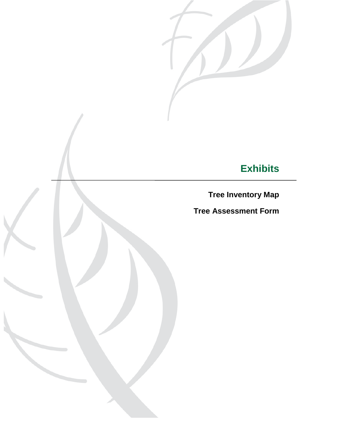

# **Exhibits**

**Tree Inventory Map**

**Tree Assessment Form**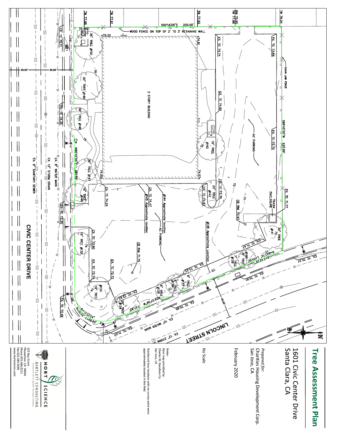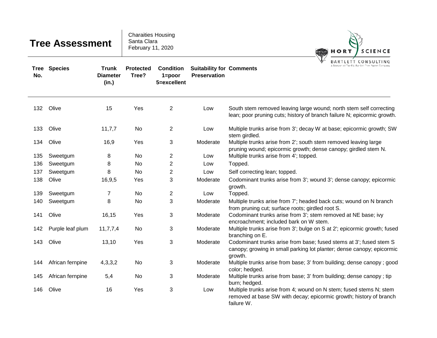| <b>Tree Assessment</b> |                  |                                          | <b>Charaities Housing</b><br>Santa Clara<br>February 11, 2020 |                                               |                                                        | HORT<br><b>SCIENCE</b>                                                                                                                                 |  |  |
|------------------------|------------------|------------------------------------------|---------------------------------------------------------------|-----------------------------------------------|--------------------------------------------------------|--------------------------------------------------------------------------------------------------------------------------------------------------------|--|--|
| Tree<br>No.            | <b>Species</b>   | <b>Trunk</b><br><b>Diameter</b><br>(in.) | <b>Protected</b><br>Tree?                                     | <b>Condition</b><br>$1 = poor$<br>5=excellent | <b>Suitability for Comments</b><br><b>Preservation</b> | BARTLETT CONSU<br>A Division of The F.A. Bartlett Tree Expert Co                                                                                       |  |  |
| 132                    | Olive            | 15                                       | Yes                                                           | $\overline{2}$                                | Low                                                    | South stem removed leaving large wound; north stem self correcting<br>lean; poor pruning cuts; history of branch failure N; epicormic growth.          |  |  |
| 133                    | Olive            | 11,7,7                                   | No.                                                           | $\overline{2}$                                | Low                                                    | Multiple trunks arise from 3'; decay W at base; epicormic growth; SW<br>stem girdled.                                                                  |  |  |
| 134                    | Olive            | 16,9                                     | Yes                                                           | 3                                             | Moderate                                               | Multiple trunks arise from 2'; south stem removed leaving large<br>pruning wound; epicormic growth; dense canopy; girdled stem N.                      |  |  |
| 135                    | Sweetgum         | 8                                        | No                                                            | $\overline{c}$                                | Low                                                    | Multiple trunks arise from 4'; topped.                                                                                                                 |  |  |
| 136                    | Sweetgum         | 8                                        | No                                                            | $\overline{2}$                                | Low                                                    | Topped.                                                                                                                                                |  |  |
| 137                    | Sweetgum         | 8                                        | No                                                            | $\overline{2}$                                | Low                                                    | Self correcting lean; topped.                                                                                                                          |  |  |
| 138                    | Olive            | 16,9,5                                   | Yes                                                           | 3                                             | Moderate                                               | Codominant trunks arise from 3'; wound 3'; dense canopy; epicormic<br>growth.                                                                          |  |  |
| 139                    | Sweetgum         | 7                                        | No                                                            | $\overline{2}$                                | Low                                                    | Topped.                                                                                                                                                |  |  |
| 140                    | Sweetgum         | 8                                        | No                                                            | 3                                             | Moderate                                               | Multiple trunks arise from 7'; headed back cuts; wound on N branch<br>from pruning cut; surface roots; girdled root S.                                 |  |  |
| 141                    | Olive            | 16,15                                    | Yes                                                           | 3                                             | Moderate                                               | Codominant trunks arise from 3'; stem removed at NE base; ivy<br>encroachment; included bark on W stem.                                                |  |  |
| 142                    | Purple leaf plum | 11, 7, 7, 4                              | No.                                                           | 3                                             | Moderate                                               | Multiple trunks arise from 3'; bulge on S at 2'; epicormic growth; fused<br>branching on E.                                                            |  |  |
| 143                    | Olive            | 13,10                                    | Yes                                                           | 3                                             | Moderate                                               | Codominant trunks arise from base; fused stems at 3'; fused stem S<br>canopy; growing in small parking lot planter; dense canopy; epicormic<br>growth. |  |  |
| 144                    | African fernpine | 4,3,3,2                                  | No.                                                           | 3                                             | Moderate                                               | Multiple trunks arise from base; 3' from building; dense canopy ; good<br>color; hedged.                                                               |  |  |
| 145                    | African fernpine | 5,4                                      | No.                                                           | 3                                             | Moderate                                               | Multiple trunks arise from base; 3' from building; dense canopy; tip<br>burn; hedged.                                                                  |  |  |
| 146                    | Olive            | 16                                       | Yes                                                           | 3                                             | Low                                                    | Multiple trunks arise from 4; wound on N stem; fused stems N; stem<br>removed at base SW with decay; epicormic growth; history of branch<br>failure W. |  |  |